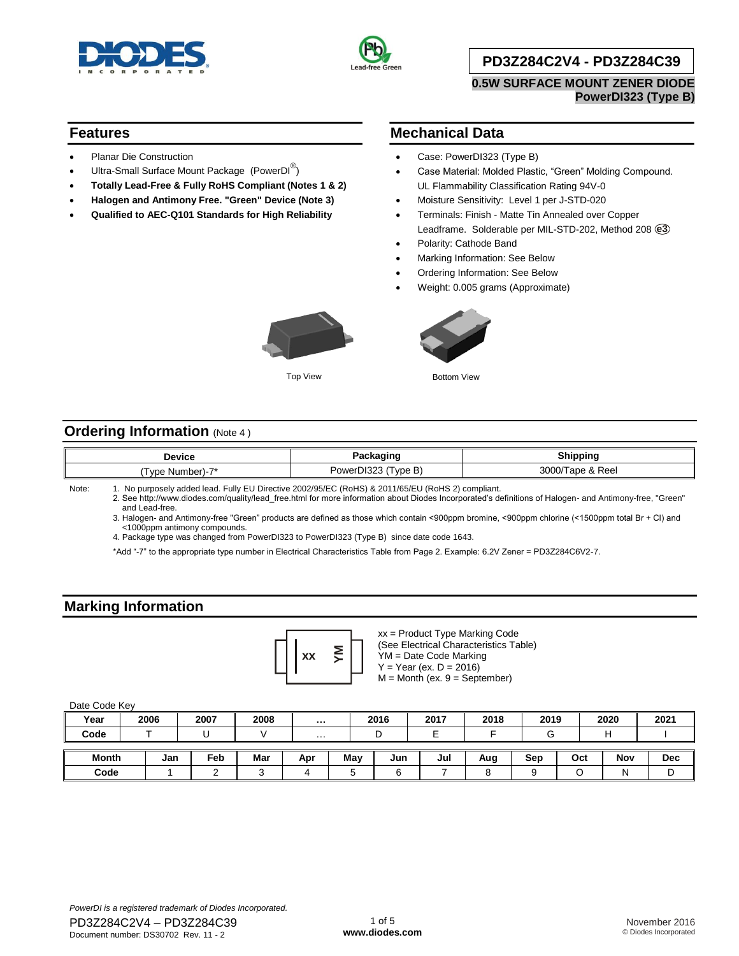



### **PD3Z284C2V4 - PD3Z284C39**

**0.5W SURFACE MOUNT ZENER DIODE PowerDI323 (Type B)**

#### **Features**

- Planar Die Construction
- $\bullet$  Ultra-Small Surface Mount Package (PowerDI $^\circledR)$
- **Totally Lead-Free & Fully RoHS Compliant (Notes 1 & 2)**
- **Halogen and Antimony Free. "Green" Device (Note 3)**
- **Qualified to AEC-Q101 Standards for High Reliability**

### **Mechanical Data**

- Case: PowerDI323 (Type B)
- Case Material: Molded Plastic, "Green" Molding Compound. UL Flammability Classification Rating 94V-0
- Moisture Sensitivity: Level 1 per J-STD-020
- Terminals: Finish Matte Tin Annealed over Copper Leadframe. Solderable per MIL-STD-202, Method 208 **e3**
- Polarity: Cathode Band
- Marking Information: See Below
- Ordering Information: See Below
- Weight: 0.005 grams (Approximate)





Top View **Bottom View** 

### **Ordering Information** (Note 4)

| Device                   | - - -                   | Shippina                          |  |  |
|--------------------------|-------------------------|-----------------------------------|--|--|
| $\sim$<br>⊺vpe<br>sumber | DI323<br>vpe b<br>POWA" | . Reel<br>$\sim$<br>∼<br>uu.<br>u |  |  |

Note: 1. No purposely added lead. Fully EU Directive 2002/95/EC (RoHS) & 2011/65/EU (RoHS 2) compliant.

2. See [http://www.diodes.com/quality/lead\\_free.html fo](http://www.diodes.com/quality/lead_free.html)r more information about Diodes Incorporated's definitions of Halogen- and Antimony-free, "Green" and Lead-free.

3. Halogen- and Antimony-free "Green" products are defined as those which contain <900ppm bromine, <900ppm chlorine (<1500ppm total Br + Cl) and <1000ppm antimony compounds.

4. Package type was changed from PowerDI323 to PowerDI323 (Type B) since date code 1643.

\*Add "-7" to the appropriate type number in Electrical Characteristics Table from Page 2. Example: 6.2V Zener = PD3Z284C6V2-7.

### **Marking Information**



xx = Product Type Marking Code

(See Electrical Characteristics Table) YM = Date Code Marking  $Y = Year (ex. D = 2016)$ 

 $M =$  Month (ex.  $9 =$  September)

#### Date Code Key

| Year         | 2006 |     | 2007 | 2008 | $\cdots$       |     | 2016 | 2017   | 2018 | 2019 |     | 2020 | 2021       |
|--------------|------|-----|------|------|----------------|-----|------|--------|------|------|-----|------|------------|
| Code         |      |     |      |      | $\cdots$       |     |      | -<br>- |      | U    |     |      |            |
|              |      |     |      |      |                |     |      |        |      |      |     |      |            |
| <b>Month</b> |      | Jan | Feb  | Mar  | Apr            | May | Jun  | Jul    | Aug  | Sep  | Oct | Nov  | <b>Dec</b> |
| Code         |      |     |      |      | $\overline{ }$ | ∽   |      |        |      |      |     | N    | ◡          |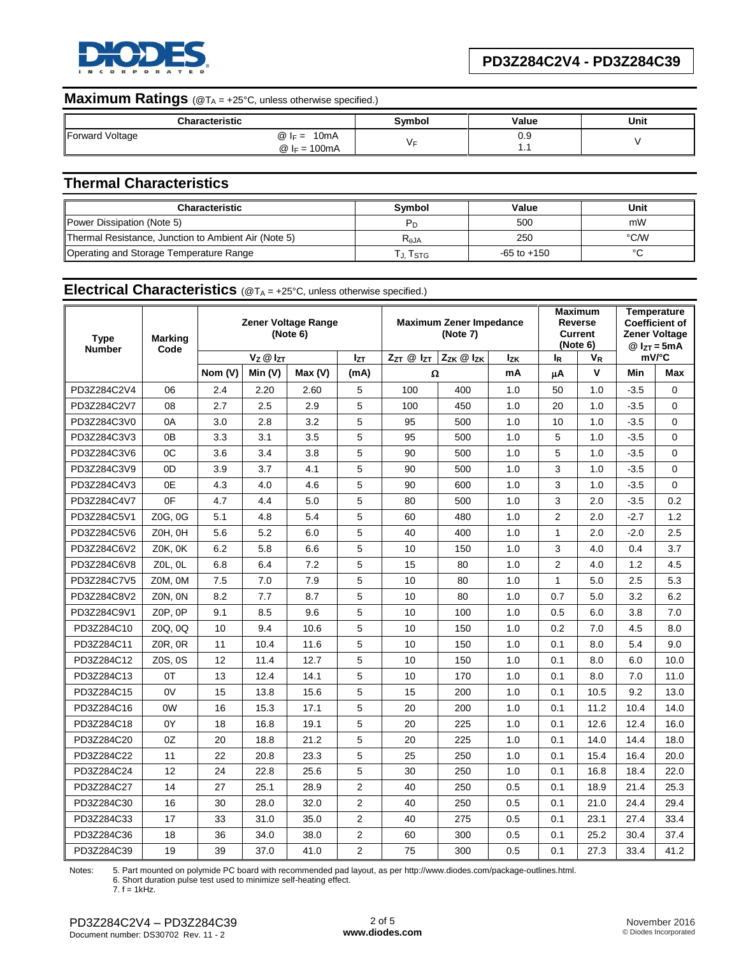

# **Maximum Ratings** (@T<sub>A</sub> = +25°C, unless otherwise specified.)

|                 | Characteristic                          | Svmbol | Value | Unit |
|-----------------|-----------------------------------------|--------|-------|------|
| Forward Voltage | 10 <sub>m</sub> A<br>$\omega$<br>$IF =$ |        | ບ.ະ   |      |
|                 | 100mA<br>$@ _{F} =$                     |        | .     |      |

# **Thermal Characteristics**

| <b>Characteristic</b>                                | <b>Symbol</b> | Value           | Unit |
|------------------------------------------------------|---------------|-----------------|------|
| Power Dissipation (Note 5)                           |               | 500             | mW   |
| Thermal Resistance, Junction to Ambient Air (Note 5) | $R_{AJA}$     | 250             | °C/W |
| Operating and Storage Temperature Range              | J. Tstg       | $-65$ to $+150$ |      |

## **Electrical Characteristics** (@T<sub>A</sub> = +25°C, unless otherwise specified.)

| <b>Type</b><br><b>Number</b> | <b>Marking</b> | <b>Zener Voltage Range</b><br>(Note 6)<br>Code |          |        |                | <b>Maximum Zener Impedance</b><br>(Note 7) |     |            | Maximum<br><b>Reverse</b><br><b>Current</b><br>(Note 6) |      | <b>Temperature</b><br><b>Coefficient of</b><br><b>Zener Voltage</b><br>$@IzT = 5mA$ |             |
|------------------------------|----------------|------------------------------------------------|----------|--------|----------------|--------------------------------------------|-----|------------|---------------------------------------------------------|------|-------------------------------------------------------------------------------------|-------------|
|                              |                |                                                | Vz @ IzT |        | Izт            | Zzk @ Izk<br>$Z_{ZT}$ $@$ $I_{ZT}$         |     | <b>Izk</b> | ΙR                                                      | VR   |                                                                                     | mV/°C       |
|                              |                | Nom (V)                                        | Min (V)  | Max(V) | (mA)           | Ω                                          |     | mA         | μA                                                      | V    | Min                                                                                 | Max         |
| PD3Z284C2V4                  | 06             | 2.4                                            | 2.20     | 2.60   | 5              | 100                                        | 400 | 1.0        | 50                                                      | 1.0  | $-3.5$                                                                              | $\mathbf 0$ |
| PD3Z284C2V7                  | 08             | 2.7                                            | 2.5      | 2.9    | 5              | 100                                        | 450 | 1.0        | 20                                                      | 1.0  | $-3.5$                                                                              | $\mathbf 0$ |
| PD3Z284C3V0                  | 0A             | 3.0                                            | 2.8      | 3.2    | 5              | 95                                         | 500 | 1.0        | 10                                                      | 1.0  | $-3.5$                                                                              | $\mathbf 0$ |
| PD3Z284C3V3                  | 0B             | 3.3                                            | 3.1      | 3.5    | 5              | 95                                         | 500 | 1.0        | 5                                                       | 1.0  | $-3.5$                                                                              | $\mathbf 0$ |
| PD3Z284C3V6                  | 0C             | 3.6                                            | 3.4      | 3.8    | 5              | 90                                         | 500 | 1.0        | 5                                                       | 1.0  | $-3.5$                                                                              | 0           |
| PD3Z284C3V9                  | 0D             | 3.9                                            | 3.7      | 4.1    | 5              | 90                                         | 500 | 1.0        | 3                                                       | 1.0  | $-3.5$                                                                              | $\mathbf 0$ |
| PD3Z284C4V3                  | 0E             | 4.3                                            | 4.0      | 4.6    | 5              | 90                                         | 600 | 1.0        | 3                                                       | 1.0  | $-3.5$                                                                              | 0           |
| PD3Z284C4V7                  | 0 <sup>F</sup> | 4.7                                            | 4.4      | 5.0    | 5              | 80                                         | 500 | 1.0        | 3                                                       | 2.0  | $-3.5$                                                                              | 0.2         |
| PD3Z284C5V1                  | Z0G, 0G        | 5.1                                            | 4.8      | 5.4    | 5              | 60                                         | 480 | 1.0        | 2                                                       | 2.0  | $-2.7$                                                                              | 1.2         |
| PD3Z284C5V6                  | ZOH, OH        | 5.6                                            | 5.2      | 6.0    | 5              | 40                                         | 400 | 1.0        | $\mathbf{1}$                                            | 2.0  | $-2.0$                                                                              | 2.5         |
| PD3Z284C6V2                  | Z0K, 0K        | 6.2                                            | 5.8      | 6.6    | 5              | 10                                         | 150 | 1.0        | 3                                                       | 4.0  | 0.4                                                                                 | 3.7         |
| PD3Z284C6V8                  | $ZOL$ , $OL$   | 6.8                                            | 6.4      | 7.2    | 5              | 15                                         | 80  | 1.0        | $\overline{2}$                                          | 4.0  | 1.2                                                                                 | 4.5         |
| PD3Z284C7V5                  | ZOM, OM        | 7.5                                            | 7.0      | 7.9    | 5              | 10                                         | 80  | 1.0        | $\mathbf{1}$                                            | 5.0  | 2.5                                                                                 | 5.3         |
| PD3Z284C8V2                  | ZON, ON        | 8.2                                            | 7.7      | 8.7    | 5              | 10                                         | 80  | 1.0        | 0.7                                                     | 5.0  | 3.2                                                                                 | 6.2         |
| PD3Z284C9V1                  | Z0P, 0P        | 9.1                                            | 8.5      | 9.6    | 5              | 10                                         | 100 | 1.0        | 0.5                                                     | 6.0  | 3.8                                                                                 | 7.0         |
| PD3Z284C10                   | Z0Q, 0Q        | 10                                             | 9.4      | 10.6   | 5              | 10                                         | 150 | 1.0        | 0.2                                                     | 7.0  | 4.5                                                                                 | 8.0         |
| PD3Z284C11                   | Z0R, 0R        | 11                                             | 10.4     | 11.6   | 5              | 10                                         | 150 | 1.0        | 0.1                                                     | 8.0  | 5.4                                                                                 | 9.0         |
| PD3Z284C12                   | Z0S, 0S        | 12                                             | 11.4     | 12.7   | 5              | 10                                         | 150 | 1.0        | 0.1                                                     | 8.0  | 6.0                                                                                 | 10.0        |
| PD3Z284C13                   | 0T             | 13                                             | 12.4     | 14.1   | 5              | 10                                         | 170 | 1.0        | 0.1                                                     | 8.0  | 7.0                                                                                 | 11.0        |
| PD3Z284C15                   | 0V             | 15                                             | 13.8     | 15.6   | 5              | 15                                         | 200 | 1.0        | 0.1                                                     | 10.5 | 9.2                                                                                 | 13.0        |
| PD3Z284C16                   | 0W             | 16                                             | 15.3     | 17.1   | 5              | 20                                         | 200 | 1.0        | 0.1                                                     | 11.2 | 10.4                                                                                | 14.0        |
| PD3Z284C18                   | 0Y             | 18                                             | 16.8     | 19.1   | 5              | 20                                         | 225 | 1.0        | 0.1                                                     | 12.6 | 12.4                                                                                | 16.0        |
| PD3Z284C20                   | 0Z             | 20                                             | 18.8     | 21.2   | 5              | 20                                         | 225 | 1.0        | 0.1                                                     | 14.0 | 14.4                                                                                | 18.0        |
| PD3Z284C22                   | 11             | 22                                             | 20.8     | 23.3   | 5              | 25                                         | 250 | 1.0        | 0.1                                                     | 15.4 | 16.4                                                                                | 20.0        |
| PD3Z284C24                   | 12             | 24                                             | 22.8     | 25.6   | 5              | 30                                         | 250 | 1.0        | 0.1                                                     | 16.8 | 18.4                                                                                | 22.0        |
| PD3Z284C27                   | 14             | 27                                             | 25.1     | 28.9   | $\overline{2}$ | 40                                         | 250 | 0.5        | 0.1                                                     | 18.9 | 21.4                                                                                | 25.3        |
| PD3Z284C30                   | 16             | 30                                             | 28.0     | 32.0   | $\overline{2}$ | 40                                         | 250 | 0.5        | 0.1                                                     | 21.0 | 24.4                                                                                | 29.4        |
| PD3Z284C33                   | 17             | 33                                             | 31.0     | 35.0   | $\overline{2}$ | 40                                         | 275 | 0.5        | 0.1                                                     | 23.1 | 27.4                                                                                | 33.4        |
| PD3Z284C36                   | 18             | 36                                             | 34.0     | 38.0   | $\overline{2}$ | 60                                         | 300 | 0.5        | 0.1                                                     | 25.2 | 30.4                                                                                | 37.4        |
| PD3Z284C39                   | 19             | 39                                             | 37.0     | 41.0   | $\overline{2}$ | 75                                         | 300 | 0.5        | 0.1                                                     | 27.3 | 33.4                                                                                | 41.2        |

Notes: 5. Part mounted on polymide PC board with recommended pad layout, as per [http://www.diodes.com/package-outlines.html.](http://www.diodes.com/package-outlines.html)

6. Short duration pulse test used to minimize self-heating effect. 7. f = 1kHz.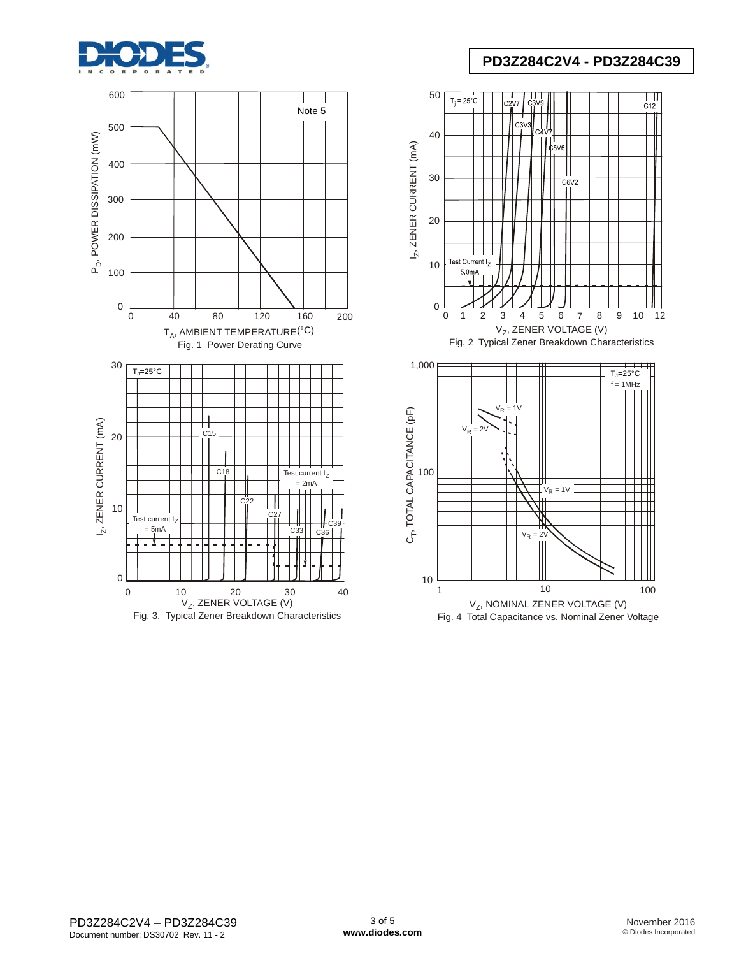



## **PD3Z284C2V4 - PD3Z284C39**

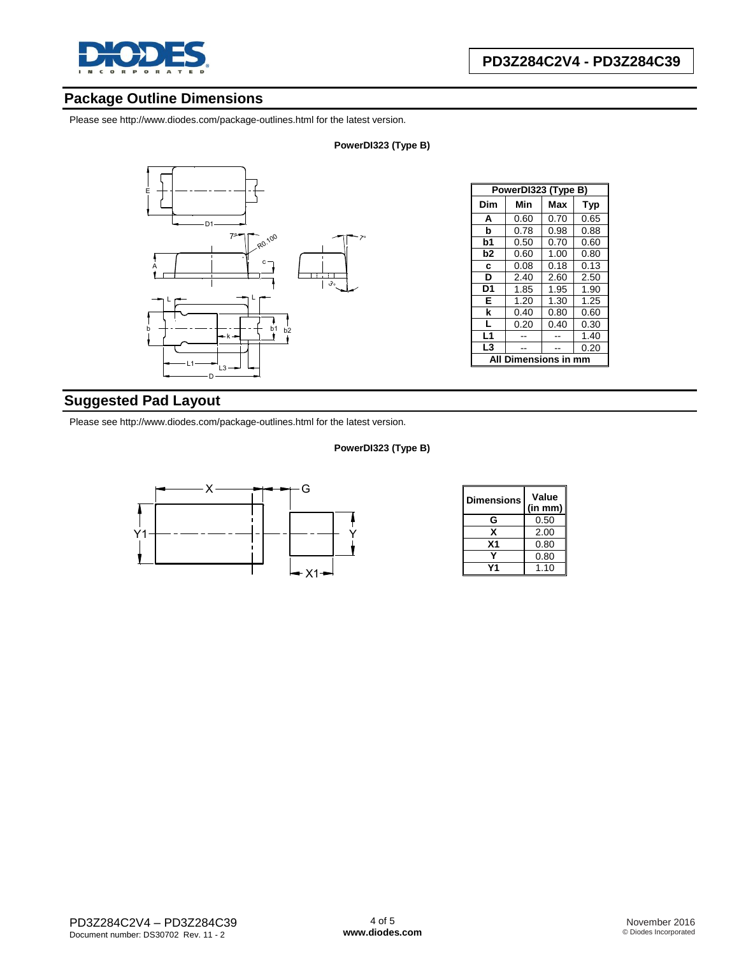

## **Package Outline Dimensions**

Please see <http://www.diodes.com/package-outlines.html> for the latest version.

#### **PowerDI323 (Type B)**



| PowerDI323 (Type B) |                  |      |            |  |  |  |
|---------------------|------------------|------|------------|--|--|--|
| Dim                 | Min              | Max  | <b>Typ</b> |  |  |  |
| A                   | 0.60             | 0.70 | 0.65       |  |  |  |
| b                   | 0.78             | 0.98 | 0.88       |  |  |  |
| b1                  | 0.50             | 0.70 | 0.60       |  |  |  |
| b <sub>2</sub>      | 0.60             | 1.00 | 0.80       |  |  |  |
| C                   | 0.08             | 0.18 | 0.13       |  |  |  |
| D                   | 2.40             | 2.60 | 2.50       |  |  |  |
| D <sub>1</sub>      | 1.85             | 1.95 | 1.90       |  |  |  |
| E                   | 1.20             | 1.30 | 1.25       |  |  |  |
| k                   | 0.40             | 0.80 | 0.60       |  |  |  |
| L                   | 0.20             | 0.40 | 0.30       |  |  |  |
| L1                  |                  |      | 1.40       |  |  |  |
| L3                  |                  |      | 0.20       |  |  |  |
| ΔIΙ                 | Dimensions in mm |      |            |  |  |  |

## **Suggested Pad Layout**

Please see <http://www.diodes.com/package-outlines.html> for the latest version.

#### **PowerDI323 (Type B)**



| Dimensions | Value<br>(in mm) |
|------------|------------------|
| G          | 0.50             |
| x          | 2.00             |
| Χ1         | 0.80             |
|            | 0.80             |
|            | 1.10             |